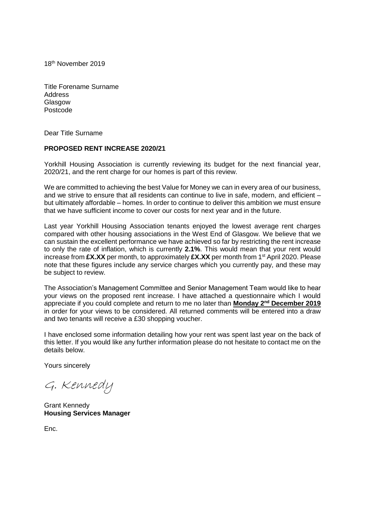18th November 2019

Title Forename Surname Address **Glasgow** Postcode

Dear Title Surname

## **PROPOSED RENT INCREASE 2020/21**

Yorkhill Housing Association is currently reviewing its budget for the next financial year, 2020/21, and the rent charge for our homes is part of this review.

We are committed to achieving the best Value for Money we can in every area of our business, and we strive to ensure that all residents can continue to live in safe, modern, and efficient – but ultimately affordable – homes. In order to continue to deliver this ambition we must ensure that we have sufficient income to cover our costs for next year and in the future.

Last year Yorkhill Housing Association tenants enjoyed the lowest average rent charges compared with other housing associations in the West End of Glasgow. We believe that we can sustain the excellent performance we have achieved so far by restricting the rent increase to only the rate of inflation, which is currently **2.1%**. This would mean that your rent would increase from **£X.XX** per month, to approximately **£X.XX** per month from 1st April 2020. Please note that these figures include any service charges which you currently pay, and these may be subject to review.

The Association's Management Committee and Senior Management Team would like to hear your views on the proposed rent increase. I have attached a questionnaire which I would appreciate if you could complete and return to me no later than **Monday 2nd December 2019** in order for your views to be considered. All returned comments will be entered into a draw and two tenants will receive a £30 shopping voucher.

I have enclosed some information detailing how your rent was spent last year on the back of this letter. If you would like any further information please do not hesitate to contact me on the details below.

Yours sincerely

G. Kennedy

Grant Kennedy **Housing Services Manager**

Enc.